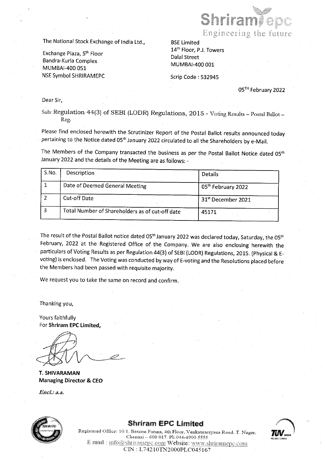

Bandra-Kurla Complex MUMBAI-400 001 MUMBAI-400 051 NSE Symbol SHRIRAMEPC Scrip Code : 532945 The National Stock Exchange of India Ltd.,<br>
Exchange Plaza, 5<sup>th</sup> Floor<br>
Bandra-Kurla Complex<br>
MUMBAI-400 051<br>
NSE Symbol SHRIRAMEPC<br>
Dear Sir,<br>
Sub: Regulation 44(3) of SEBI (LODR) Reg<br>
Reg.<br>
Please find enclosed herewith

05™ February 2022

|                |                                                                                                            | Shridh                                                                                          |
|----------------|------------------------------------------------------------------------------------------------------------|-------------------------------------------------------------------------------------------------|
|                |                                                                                                            | Engineering the fut                                                                             |
|                | The National Stock Exchange of India Ltd.,                                                                 | <b>BSE Limited</b>                                                                              |
|                | Exchange Plaza, 5th Floor                                                                                  | 14 <sup>th</sup> Floor, P.J. Towers<br><b>Dalal Street</b>                                      |
|                | Bandra-Kurla Complex<br>MUMBAI-400 051                                                                     | MUMBAI-400 001                                                                                  |
|                | <b>NSE Symbol SHRIRAMEPC</b>                                                                               | Scrip Code: 532945                                                                              |
|                |                                                                                                            | 05 <sup>TH</sup> February 20                                                                    |
| Dear Sir,      |                                                                                                            |                                                                                                 |
|                | Reg.                                                                                                       | Sub: Regulation 44(3) of SEBI (LODR) Regulations, 2015 - Voting Results - Postal Ballot         |
|                | pertaining to the Notice dated 05 <sup>th</sup> January 2022 circulated to all the Shareholders by e-Mail. | Please find enclosed herewith the Scrutinizer Report of the Postal Ballot results announced tod |
|                | January 2022 and the details of the Meeting are as follows: -                                              | The Members of the Company transacted the business as per the Postal Ballot Notice dated 0!     |
| S.No.          | Description                                                                                                | <b>Details</b>                                                                                  |
| $\mathbf{1}$   | Date of Deemed General Meeting                                                                             | 05th February 2022                                                                              |
| $\overline{2}$ | <b>Cut-off Date</b>                                                                                        | 31st December 2021                                                                              |
| 3              | Total Number of Shareholders as of cut-off date                                                            | 45171                                                                                           |
|                |                                                                                                            |                                                                                                 |

The result of the Postal Ballot notice dated 05<sup>th</sup> January 2022 was declared today, Saturday, the 05<sup>th</sup> February, 2022 at the Registered Office of the Company. We are also enclosing herewith the particulars of Voting Re voting) is enclosed. The Voting was conducted by way of E-voting and the Resolutions placed before the Members had been passed with requisite majority.

We request you to take the same on record and confirm.

Thanking you,

Yours faithfully For Shriram EPC Limited,

T. SHIVARAMAN Managing Director & CEO

Encl.: a.a.



#### Shriram EPC Limited



Registered Office: 10/1, Bascon Futura, 4th Floor, Venkatnarayana Road. T. Nagar, Chennai - 600 017. Ph.044-4900 5555 E mail : info@shriramepc.com Website: www.shriramepc.com CIN: L74210TN2000PLC045167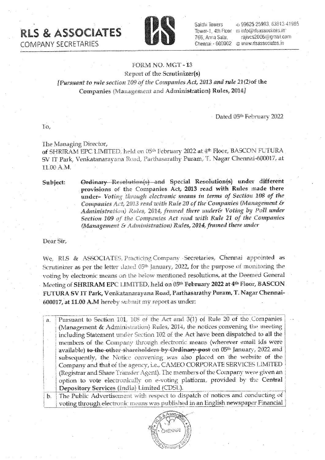RLS & ASSOCIATES RLS & ASSOCIATES

COMPANY SECRETARIES



Sakthi Towers 766; Arana Salai,

-6 99625 25993, 63813 41985 Tower-1 4th Floor is info@rtsassociates.in railvcs2006@gmail.com Chennai - 600002 @ www.risassociates.in

### FORM NO. MGT -13

Report of the Scratinizer(s) [Pursuant to rele section 109 of the Companies Act, 2013 and rule 21(Qot the Companies (Management and Administration) Rules, 2014]

Dated 05<sup>th</sup> February 2022

To,

The Managing. Director, of SHRIRAM EPC LIMITED, held on 05<sup>th</sup> February 2022 at 4<sup>th</sup> Floor, BASCON FUTURA The Managing Director,<br>of SHRIRAM EPC LIMITED, held on 05th February 2022 at 4th Floor, BASCON FUTURA<br>SV IT Park, Venkatanarayana Road, Parthasarathy Puram, 'T. Nagar Chennai-600017, at TLOD ALM.

Subject: Ordinary Resolution(s) and Special Resolution(s) under different provisions of the Companies Act, 2013 read with Rules made there under- Voting through electronic means in terms of Section 108 of the Companies Act, 2013 read with Rule 20 of the Companies (Management & Adininistration) Rides, 2014, framed there under& Voting by Poll under Section 109 of ihe Companies Act read with Rule 21 of the Companies (Management & Administration) Rules, 2014, framed there wader

Dear Sir,

We, RLS & ASSOCIATES Practicing Company Secretaries, Chennai appointed as Scrutinizer as per the letter dated  $05<sup>th</sup>$  January, 2022, for the purpose of monitoring the voting by electronic means on the below mentioned resolutions, at the Deemed General Meeting of SHRIRAM EPC LIMITED, held on 05<sup>th</sup> February 2022 at 4<sup>th</sup> Floor, BASCON FUTURA SV IT Park, Venkatenarayana Road, Parthasarathy Puram, T. Nagar Chennai-600077, at 11,00 AM hereby subunit my report as under: (Management)<br>
Sir,<br>
RLS & ASSOCIATES,<br>
tinizer as per the letter<br>
ug by electronic means of<br>
ing of SHRIRAM EPC I<br>
URA SV IT Park, Venka<br>
17, at 11.00 A.M hereby<br>
Pursuant to Section II<br>
Pursuant to Section II<br>
(Management

 $\boxed{a$ , Pursuant to Section 101, 108 of the Act and 3(1) of Rule 20 of the Co. (Management & Administration) Rules, 2014, the notices convening the meeting including Statement under Section 102 of the Act have been dispatched to all the members of the Company through electronic means (wherever email ids were available) to the other shareholders by Ordinary post on 05<sup>th</sup> January, 2022 and subsequently, the Notice convening was also placed on the website of the Company and that of the agency, i.e., CAMEO CORPORATE SERVICES LIMITED (Registrar and Share Transfer Agent). The members of the Company were given an (Registrar and Share Transfer Agent). The members of the Company were given an interest on the Central :<br>cotion to vote electronically on e-voting platform, provided by the Central  $\boxed{\overrightarrow{\text{D}}$ enository Services (India) Limited (CDSL). (Registrar and 3<br>option to vote<br>Depository Ser<br>The Public Ad<br>voting through ron<br>(Inc<br>\*\*\*\*\* IT Park, Venkatanarayana Road, Parthasa<br>
00 A.M.<br>
bject: <br> **Crigorian Contains Contains Contains Contains Contains Comparise under-** Voting through electro<br> **Comparies** Act, 2013 read with<br> *Administration*) Rese, 2014, f

The Public Advertisement with respect to dispatch of notices and conducting of  $\frac{1}{2}$ The Public Advertisement with respect to dispatch of notices and conducting of voting through electronic means was published in an English newspaper Financial Ť.

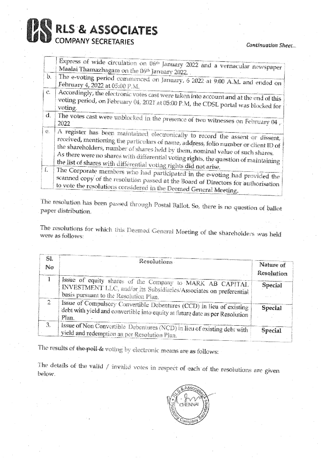# RLS & ASSOCIATES COMPANY SECRETARIES **PRIS & ASSOCIATES**<br>COMPANY SECRETARIES<br>Express of wide circulation on 06<sup>th</sup> January 2022.

Continuation Sheet...

|              | RLS & ASSOCIATES                                                                                                                                                                                                                                        |                         |
|--------------|---------------------------------------------------------------------------------------------------------------------------------------------------------------------------------------------------------------------------------------------------------|-------------------------|
|              | <b>COMPANY SECRETARIES</b>                                                                                                                                                                                                                              | Continuation She        |
|              | Express of wide circulation on 06th January 2022 and a vernacular newspaper                                                                                                                                                                             |                         |
| $\mathbf{b}$ | Maalai Thamazhagam on the 06th January 2022.                                                                                                                                                                                                            |                         |
|              | The e-voting period commenced on January, 6 2022 at 9:00 A.M. and ended on<br>February 4, 2022 at 05:00 P.M.                                                                                                                                            |                         |
| $\mathbb{C}$ | Accordingly, the electronic votes cast were taken into account and at the end of this<br>voting period, on February 04, 2021 at 05:00 P.M, the CDSL portal was blocked for<br>voting.                                                                   |                         |
| $d_{\star}$  | The votes cast were unblocked in the presence of two witnesses on February 04.                                                                                                                                                                          |                         |
| €.           | A register has been maintained electronically to record the assent or dissent,<br>received, mentioning the particulars of name, address, folio number or client ID of<br>the shareholders, number of shares held by them, nominal value of such shares. |                         |
|              | As there were no shares with differential voting rights, the question of maintaining<br>the list of shares with differential voting rights did not arise.                                                                                               |                         |
| £            | The Corporate members who had participated in the e-voting had provided the<br>scanned copy of the resolution passed at the Board of Directors for authorisation<br>to vote the resolutions considered in the Deemed General Meeting.                   |                         |
|              | The resolution has been passed through Postal Ballot. So, there is no question of ballot<br>paper distribution.                                                                                                                                         |                         |
|              | The resolutions for which this Deemed General Meeting of the shareholders was held<br>were as follows:                                                                                                                                                  |                         |
| SI.          |                                                                                                                                                                                                                                                         |                         |
| No           | Resolutions                                                                                                                                                                                                                                             | Nature of<br>Resolution |
| Î            | Issue of equity shares of the Company to MARK AB CAPITAL<br>INVESTMENT LLC, and/or its Subsidiaries/Associates on preferential<br>basis pursuant to the Resolution Plan.                                                                                | <b>Special</b>          |
| 2            | Issue of Compulsory Convertible Debentures (CCD) in lieu of existing<br>debt with yield and convertible into equity at future date as per Resolution<br>Plan.                                                                                           | <b>Special</b>          |
| ्            | teoma nt'hinn r                                                                                                                                                                                                                                         |                         |

| SI. |                                                                                                                                                                          |                         |
|-----|--------------------------------------------------------------------------------------------------------------------------------------------------------------------------|-------------------------|
| No  | Resolutions                                                                                                                                                              | Nature of<br>Resolution |
| Ĩ   | Issue of equity shares of the Company to MARK AB CAPITAL<br>INVESTMENT LLC, and/or its Subsidiaries/Associates on preferential<br>basis pursuant to the Resolution Plan. | <b>Special</b>          |
| 2   | Issue of Compulsory Convertible Debentures (CCD) in lieu of existing<br>debt with yield and convertible into equity at future date as per Resolution<br>Plan.            | <b>Special</b>          |
| 3.  | Issue of Non Convertible Debentures (NCD) in lieu of existing debt with<br>yield and redemption as per Resolution Plan.                                                  | Special                 |

The results of the poll & voting by electronic means are as follows:

 $\frac{d\mathbf{r}}{d\mathbf{r}} = \frac{1}{2} \mathbf{r} \mathbf{r}$ 

The details of the valid / invalid votes in respect of each of the resolutions are given below.

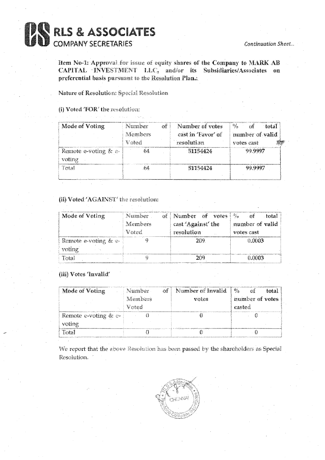

Item No-1: Approval for issue of equity shares of the Company to MARK AB CAPITAL INVESTMENT LLC, and/or its Subsidiaries/Associates on preferential basis pursuant to the Resolution Plana.

Nature of Resolution: Special Resolution

#### (i) Voted 'FOR' the resolution:

| Mode of Voting                       | Number<br>of i<br>Members<br>โกลล | Number of votes<br>cast in 'Favor' of<br>resolution | $\mathcal{B}_{\mathcal{A}}$ .<br>ಾ£<br>≹ntal<br>number of valid<br>votes cast |
|--------------------------------------|-----------------------------------|-----------------------------------------------------|-------------------------------------------------------------------------------|
| Remote e-voting $\&$ $\in$<br>votine |                                   | 51154424                                            | 99.9997                                                                       |
| Total                                |                                   | 51154424                                            | 99.9997                                                                       |

#### (ii) Voted 'AGAINST' the resolution:

| Mode of Voting          | Number- | of Number of votes | ್ರಿಕ್<br>сś<br>total |
|-------------------------|---------|--------------------|----------------------|
|                         | Members | cast 'Against' the | number of valid      |
|                         | Noted.  | resolution         | votes cast           |
| Remote e-voting $\&$ e- |         | 209                | <b>GANRS</b>         |
| voting                  |         |                    |                      |
| Tatal                   |         | 作代格                | 0.0003               |

#### (iii) Votes 'Invalid'

| Mode of Voting       | Namber -       | of Number of Invalid | $\mathbb{Z}_{\mathbf{a}}$<br>₹5£<br>ntal |
|----------------------|----------------|----------------------|------------------------------------------|
|                      | <b>Members</b> | voies                | inimber of votes                         |
|                      | Voted          |                      | easted                                   |
| Remote e-voting & c- |                |                      |                                          |
| voting               |                |                      |                                          |
| Total                |                |                      |                                          |

We report that the above Resolution has been passed by the shareholders as Special Resolution.

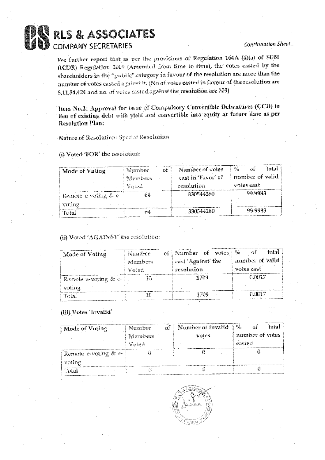### **BAREL BEASSOCIATES**

#### **Continuation Sheet...**

We further report that as per the provisions of Regulation 164A (4)(a) of SEBI (ICDR) Regulation 2009 (Amended from fine to time), the votes casted by the shareholders in the "public" category in favour of the resolution are more than the number of votes casted against it. (No of votes casted in favour of the resolution are 5,11,54,424 and no. of votes casted against the resolution are 209)

Item No.2: Approval for issue of Compulsory Convertible Debentures (CCD) in lieu of existing debt with yield and convertible into equity at future date as per **Resolution Plan:** 

Nature of Resolution: Special Resolution

(i) Voted 'FOR' the resolution:

| Mode of Voting          | Number<br>₹zŶ | Number of votes    | $M_{\rm H}$<br>total<br>zif |
|-------------------------|---------------|--------------------|-----------------------------|
|                         | Members       | cast in 'Favor' of | mumber of valid             |
|                         | Veted         | resolution         | votes cast                  |
| Remote e-voting $\&$ e- |               | 330544280          | 99.9983                     |
| voting                  |               |                    |                             |
| Total                   | - Á           | 330544280          | 99.9983                     |

#### (ii) Voted 'AGAINST' the resolution:

| Mode of Voting          | Number<br>Members<br>Voted | of Number of votes<br>cast 'Against' the<br>resolution | $\mathbb{Q}_3$<br>total<br>number of valid<br>votes cast |
|-------------------------|----------------------------|--------------------------------------------------------|----------------------------------------------------------|
| Remote e-voting $\&$ e- |                            | 1709                                                   | 0.0017                                                   |
| voting                  |                            |                                                        |                                                          |
| Total                   |                            |                                                        | 0.0017                                                   |

#### (iii) Votes 'Invalid'

| Mode of Voting          | Number<br>母名 | Number of Invalid | $-\frac{5}{2}$<br>total |
|-------------------------|--------------|-------------------|-------------------------|
|                         | Members      | votes             | number of votes         |
|                         | Vnied        |                   | casted                  |
| Remote e-voting $\&$ e- |              |                   |                         |
| voting                  |              |                   |                         |
| Total                   |              |                   |                         |

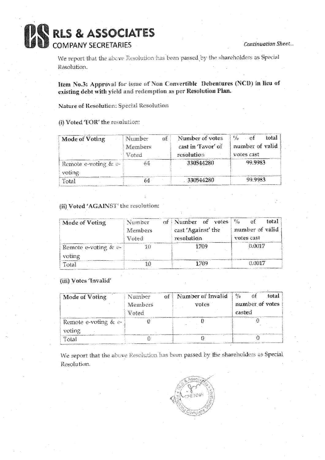## **BAS RLS & ASSOCIATES**

We report that the above Resolution has been passed by the shareholders as Special Resolution.

Item No.3: Approval for issue of Non Convertible Debentures (NCD) in lieu of existing debt with yield and redemption as per Resolution Plan.

Nature of Resolution: Special Resolution

#### (i) Voted 'FOR' the resolution:

| <b>Mode of Voting</b>   | of<br>Number | Number of votes    | $\frac{6}{5}$ of<br>total |
|-------------------------|--------------|--------------------|---------------------------|
|                         | Members      | cast in 'Favor' of | number of valid           |
|                         | Voted        | resolution         | votes cast                |
| Remote e-voting $\&$ e- |              | -330944280         | -99.9983                  |
| voting                  |              |                    |                           |
| Total                   | 的柔           | -330544280         | 99.9983                   |

#### (ii) Voted 'AGAINST' the resolution:

| Mode of Voting          | Number<br>Members<br>Vued | of Number of votes<br>cast 'Against' the<br>resolution | $v_{f_0}$<br>total<br>number of valid<br>votes cast |
|-------------------------|---------------------------|--------------------------------------------------------|-----------------------------------------------------|
| Remote e-voting & $e$ - |                           | <b>17114</b>                                           | <b>BANDIV</b>                                       |
| voting                  |                           |                                                        |                                                     |
| $T0$ al                 | 得著者                       | 1709                                                   | 0.0017                                              |

#### (iii) Votes 'Invalid'

| Mode of Voting       | Number  | of   Number of Invalid | $\frac{1}{2}$ $\frac{a_3}{70}$<br>total<br>Ωŧ |
|----------------------|---------|------------------------|-----------------------------------------------|
|                      | Members | votes                  | number of votes                               |
|                      | Voted   |                        | casted                                        |
| Remote e-voting & e- |         |                        |                                               |
| voting               |         |                        |                                               |
| Tatal                |         |                        |                                               |

We report that the above Resolution has been passed by the shareholders as Special Resolution.

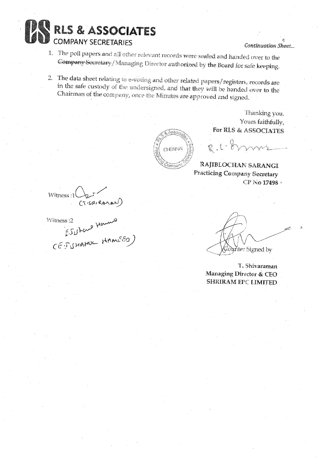

#### Continuation Sheet...

- 1. The poll papers and all other relevant records were sealed and handed over to the Company Secretary / Managing Director authorized by the Board for safe keeping.
- 2. The data sheet relating to e-voting and other related papers/registers, records are in the safe custody of the undersigned, and that they will be handed over to the Chairman of the company, once the Minutes are approved and signed.

Assa **OBSIN** Irnan

Thanking you, Yours faithfully, For RLS & ASSOCIATES

**RAJIBLOCHAN SARANGI Practicing Company Secretary** CP No 17498 ·

R.C. Browns

INTERES : 1 (12)<br>CT-SOLRAMAN)<br>Witness: 2 HOULED)<br>CE-JUHAMUL MAMEED)

 $\sharp\partial$  and  $\sharp$  is the sum of  $\psi$ 

T. Shivaraman Managing Director & CEO **SHRIRAM EPC LIMITED**